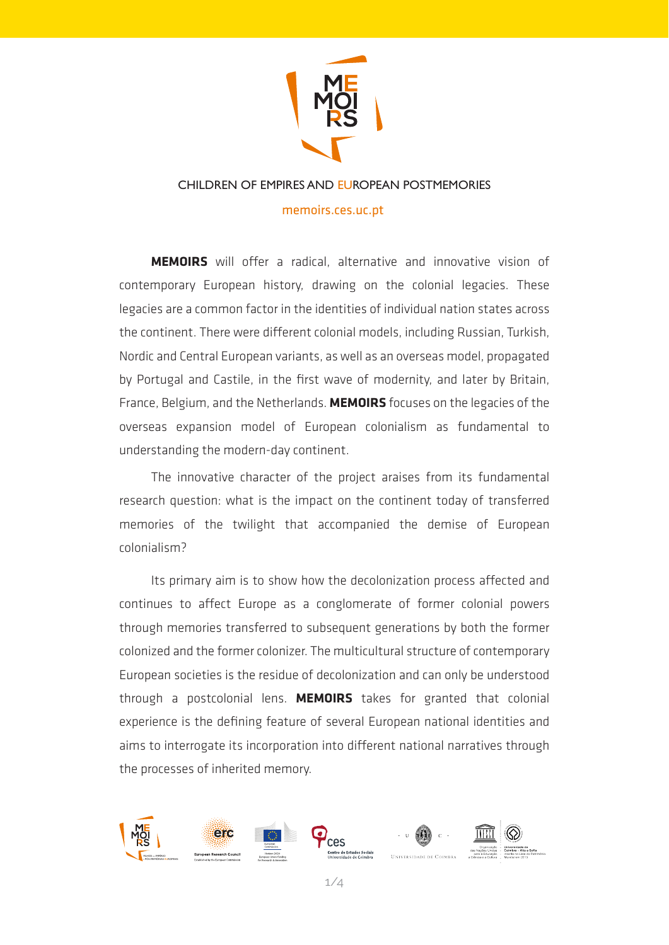

#### CHILDREN OF EMPIRES AND EUROPEAN POSTMEMORIES

#### memoirs.ces.uc.pt

**MEMOIRS** will offer a radical, alternative and innovative vision of contemporary European history, drawing on the colonial legacies. These legacies are a common factor in the identities of individual nation states across the continent. There were different colonial models, including Russian, Turkish, Nordic and Central European variants, as well as an overseas model, propagated by Portugal and Castile, in the first wave of modernity, and later by Britain, France, Belgium, and the Netherlands. **MEMOIRS** focuses on the legacies of the overseas expansion model of European colonialism as fundamental to understanding the modern-day continent.

The innovative character of the project araises from its fundamental research question: what is the impact on the continent today of transferred memories of the twilight that accompanied the demise of European colonialism?

Its primary aim is to show how the decolonization process affected and continues to affect Europe as a conglomerate of former colonial powers through memories transferred to subsequent generations by both the former colonized and the former colonizer. The multicultural structure of contemporary European societies is the residue of decolonization and can only be understood through a postcolonial lens. **MEMOIRS** takes for granted that colonial experience is the defining feature of several European national identities and aims to interrogate its incorporation into different national narratives through the processes of inherited memory.

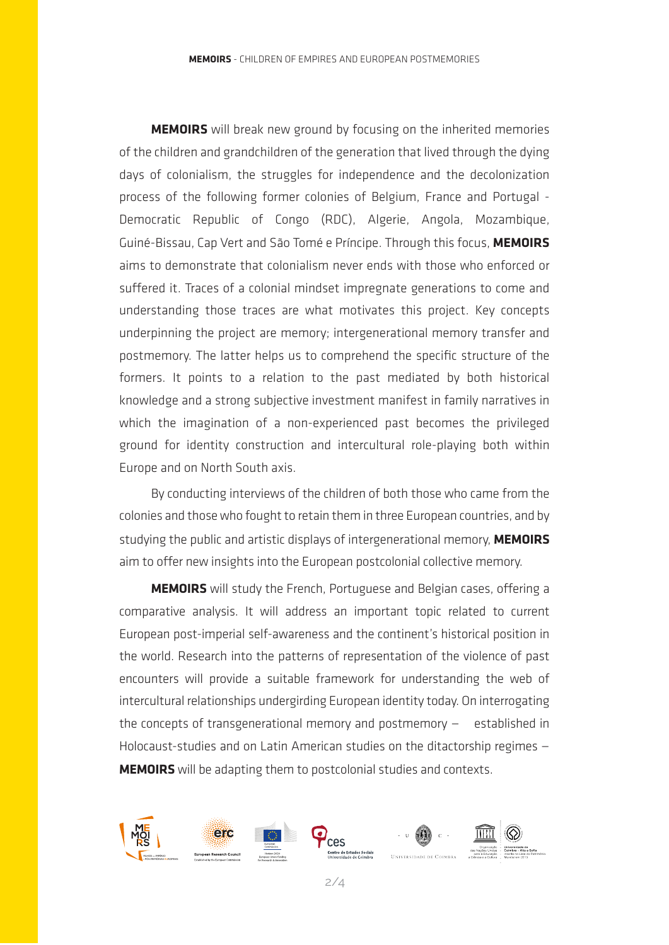**MEMOIRS** will break new ground by focusing on the inherited memories of the children and grandchildren of the generation that lived through the dying days of colonialism, the struggles for independence and the decolonization process of the following former colonies of Belgium, France and Portugal - Democratic Republic of Congo (RDC), Algerie, Angola, Mozambique, Guiné-Bissau, Cap Vert and São Tomé e Príncipe. Through this focus, **MEMOIRS** aims to demonstrate that colonialism never ends with those who enforced or suffered it. Traces of a colonial mindset impregnate generations to come and understanding those traces are what motivates this project. Key concepts underpinning the project are memory; intergenerational memory transfer and postmemory. The latter helps us to comprehend the specific structure of the formers. It points to a relation to the past mediated by both historical knowledge and a strong subjective investment manifest in family narratives in which the imagination of a non-experienced past becomes the privileged ground for identity construction and intercultural role-playing both within Europe and on North South axis.

By conducting interviews of the children of both those who came from the colonies and those who fought to retain them in three European countries, and by studying the public and artistic displays of intergenerational memory, **MEMOIRS** aim to offer new insights into the European postcolonial collective memory.

**MEMOIRS** will study the French, Portuguese and Belgian cases, offering a comparative analysis. It will address an important topic related to current European post-imperial self-awareness and the continent's historical position in the world. Research into the patterns of representation of the violence of past encounters will provide a suitable framework for understanding the web of intercultural relationships undergirding European identity today. On interrogating the concepts of transgenerational memory and postmemory  $-$  established in Holocaust-studies and on Latin American studies on the ditactorship regimes — **MEMOIRS** will be adapting them to postcolonial studies and contexts.

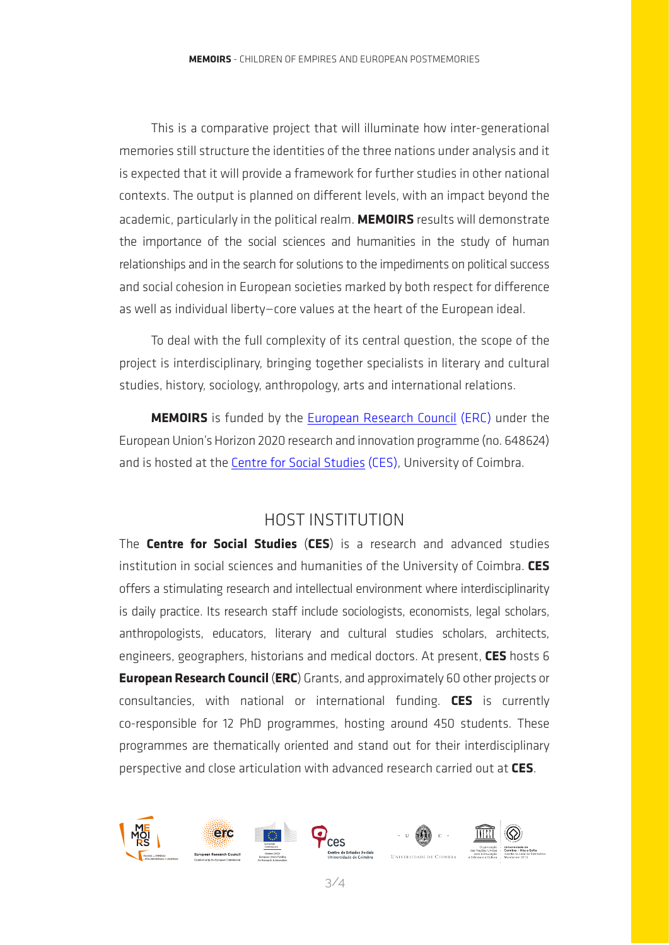This is a comparative project that will illuminate how inter-generational memories still structure the identities of the three nations under analysis and it is expected that it will provide a framework for further studies in other national contexts. The output is planned on different levels, with an impact beyond the academic, particularly in the political realm. **MEMOIRS** results will demonstrate the importance of the social sciences and humanities in the study of human relationships and in the search for solutions to the impediments on political success and social cohesion in European societies marked by both respect for difference as well as individual liberty—core values at the heart of the European ideal.

To deal with the full complexity of its central question, the scope of the project is interdisciplinary, bringing together specialists in literary and cultural studies, history, sociology, anthropology, arts and international relations.

**MEMOIRS** is funded by the European Research Council (ERC) under the European Union's Horizon 2020 research and innovation programme (no. 648624) and is hosted at the Centre for Social Studies (CES), University of Coimbra.

# HOST INSTITUTION

The **Centre for Social Studies** (**CES**) is a research and advanced studies institution in social sciences and humanities of the University of Coimbra. **CES**  offers a stimulating research and intellectual environment where interdisciplinarity is daily practice. Its research staff include sociologists, economists, legal scholars, anthropologists, educators, literary and cultural studies scholars, architects, engineers, geographers, historians and medical doctors. At present, **CES** hosts 6 **European Research Council** (**ERC**) Grants, and approximately 60 other projects or consultancies, with national or international funding. **CES** is currently co-responsible for 12 PhD programmes, hosting around 450 students. These programmes are thematically oriented and stand out for their interdisciplinary perspective and close articulation with advanced research carried out at **CES**.